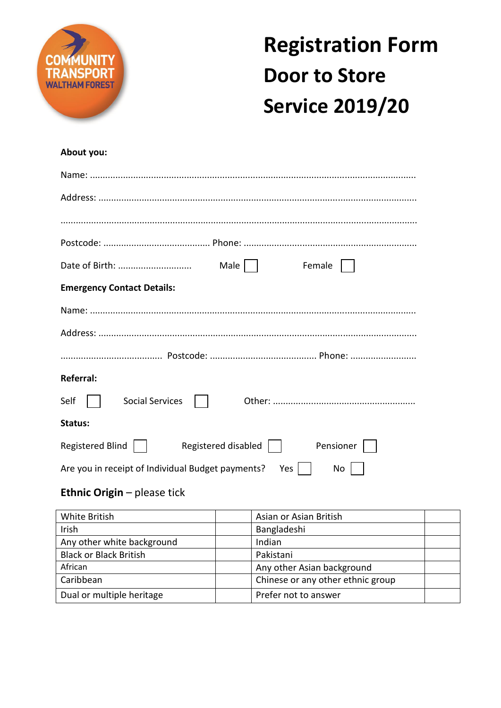

## **Registration Form Door to Store Service 2019/20**

## **About you:**

| Male    <br>Female                                                               |
|----------------------------------------------------------------------------------|
| <b>Emergency Contact Details:</b>                                                |
|                                                                                  |
|                                                                                  |
|                                                                                  |
| <b>Referral:</b>                                                                 |
| Self<br>Social Services                                                          |
| Status:                                                                          |
| Registered Blind    <br>Registered disabled $\vert$ $\vert$<br>Pensioner         |
| Yes $\vert$ $\vert$<br>Are you in receipt of Individual Budget payments?<br>No l |

## **Ethnic Origin** – please tick

| White British                 | Asian or Asian British            |
|-------------------------------|-----------------------------------|
| Irish                         | Bangladeshi                       |
| Any other white background    | Indian                            |
| <b>Black or Black British</b> | Pakistani                         |
| African                       | Any other Asian background        |
| Caribbean                     | Chinese or any other ethnic group |
| Dual or multiple heritage     | Prefer not to answer              |